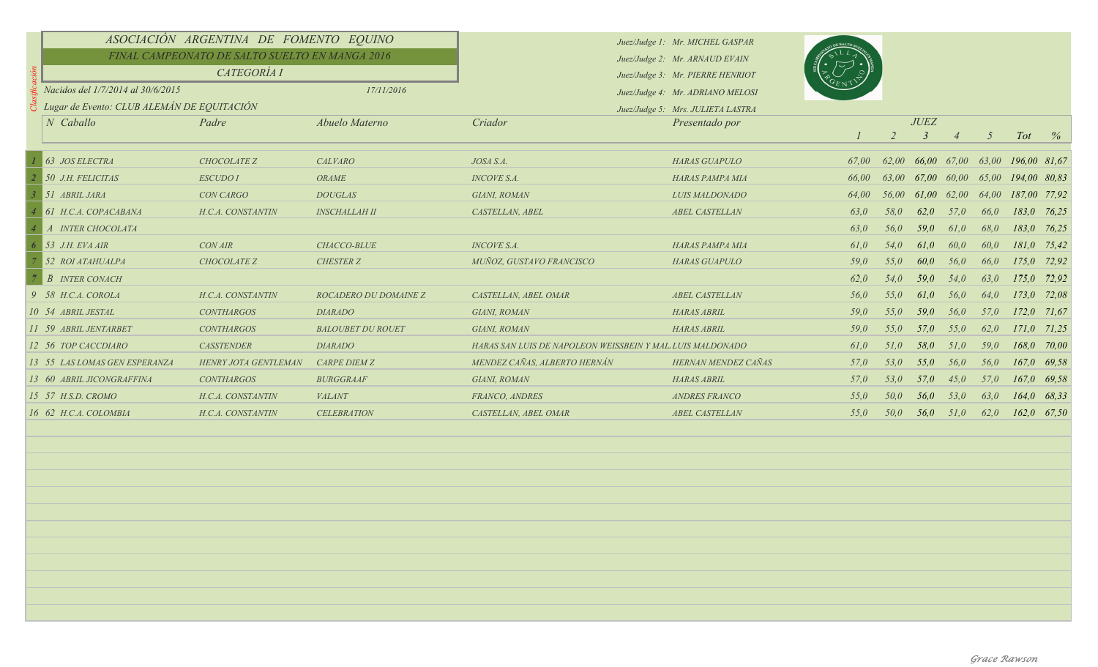|  | ASOCIACIÓN ARGENTINA DE FOMENTO EQUINO         |                      |                          |                                                           | Juez/Judge 1: Mr. MICHEL GASPAR   |       |                |             |      |                 |                                      |       |
|--|------------------------------------------------|----------------------|--------------------------|-----------------------------------------------------------|-----------------------------------|-------|----------------|-------------|------|-----------------|--------------------------------------|-------|
|  | FINAL CAMPEONATO DE SALTO SUELTO EN MANGA 2016 |                      |                          |                                                           | Juez/Judge 2: Mr. ARNAUD EVAIN    |       |                |             |      |                 |                                      |       |
|  | CATEGORÍA I                                    |                      |                          |                                                           | Juez/Judge 3: Mr. PIERRE HENRIOT  |       |                |             |      |                 |                                      |       |
|  | Nacidos del 1/7/2014 al 30/6/2015              |                      | 17/11/2016               |                                                           | Juez/Judge 4: Mr. ADRIANO MELOSI  |       |                |             |      |                 |                                      |       |
|  | Lugar de Evento: CLUB ALEMÁN DE EQUITACIÓN     |                      |                          |                                                           | Juez/Judge 5: Mrs. JULIETA LASTRA |       |                |             |      |                 |                                      |       |
|  | N Caballo                                      | Padre                | Abuelo Materno           | Criador                                                   | Presentado por                    |       |                | JUEZ        |      |                 |                                      |       |
|  |                                                |                      |                          |                                                           |                                   |       | $\overline{2}$ | 3           |      | $5\overline{)}$ | <b>Tot</b>                           | $\%$  |
|  | 63 JOS ELECTRA                                 | CHOCOLATE Z          | <b>CALVARO</b>           | JOSA S.A.                                                 | <b>HARAS GUAPULO</b>              | 67,00 |                |             |      |                 | 62,00 66,00 67,00 63,00 196,00 81,67 |       |
|  | 50 J.H. FELICITAS                              | <b>ESCUDO I</b>      | <b>ORAME</b>             | <b>INCOVE S.A.</b>                                        | HARAS PAMPA MIA                   | 66,00 | 63.00          |             |      |                 | 67,00 60,00 65,00 194,00 80,83       |       |
|  | 51 ABRIL JARA                                  | CON CARGO            | <b>DOUGLAS</b>           | GIANI, ROMAN                                              | LUIS MALDONADO                    | 64,00 | 56,00          | 61,00 62,00 |      | 64,00           | 187,00 77,92                         |       |
|  | 61 H.C.A. COPACABANA                           | H.C.A. CONSTANTIN    | <b>INSCHALLAH II</b>     | CASTELLAN, ABEL                                           | <b>ABEL CASTELLAN</b>             | 63,0  | 58,0           | 62,0        | 57,0 | 66,0            | 183,0 76,25                          |       |
|  | A INTER CHOCOLATA                              |                      |                          |                                                           |                                   | 63,0  | 56,0           | 59,0        | 61,0 | 68,0            | 183,0                                | 76,25 |
|  | 53 J.H. EVA AIR                                | <b>CON AIR</b>       | CHACCO-BLUE              | <b>INCOVE S.A.</b>                                        | HARAS PAMPA MIA                   | 61,0  | 54,0           | 61,0        | 60,0 | 60,0            | 181,0                                | 75,42 |
|  | 52 ROI ATAHUALPA                               | CHOCOLATE Z          | <b>CHESTER Z</b>         | MUÑOZ, GUSTAVO FRANCISCO                                  | <b>HARAS GUAPULO</b>              | 59,0  | 55,0           | 60,0        | 56,0 | 66,0            | $175,0$ 72,92                        |       |
|  | <b>B</b> INTER CONACH                          |                      |                          |                                                           |                                   | 62.0  | 54,0           | 59,0        | 54,0 | 63,0            | 175.0                                | 72,92 |
|  | 9 58 H.C.A. COROLA                             | H.C.A. CONSTANTIN    | ROCADERO DU DOMAINE Z    | CASTELLAN, ABEL OMAR                                      | <b>ABEL CASTELLAN</b>             | 56,0  | 55.0           | 61,0        | 56,0 | 64,0            | $173,0$ $72,08$                      |       |
|  | 10 54 ABRIL JESTAL                             | <b>CONTHARGOS</b>    | <b>DIARADO</b>           | GIANI, ROMAN                                              | <b>HARAS ABRIL</b>                | 59,0  | 55,0           | 59,0        | 56,0 | 57,0            | $172,0$ 71,67                        |       |
|  | 11 59 ABRIL JENTARBET                          | <b>CONTHARGOS</b>    | <b>BALOUBET DU ROUET</b> | GIANI, ROMAN                                              | <b>HARAS ABRIL</b>                | 59,0  | 55,0           | 57,0        | 55,0 | 62,0            | $171,0$ 71,25                        |       |
|  | 12 56 TOP CACCDIARO                            | <b>CASSTENDER</b>    | <b>DIARADO</b>           | HARAS SAN LUIS DE NAPOLEON WEISSBEIN Y MAL LUIS MALDONADO |                                   | 61,0  | 51,0           | 58,0        | 51,0 | 59,0            | 168,0                                | 70,00 |
|  | 13 55 LAS LOMAS GEN ESPERANZA                  | HENRY JOTA GENTLEMAN | <b>CARPE DIEM Z</b>      | MENDEZ CAÑAS, ALBERTO HERNÁN                              | HERNAN MENDEZ CAÑAS               | 57,0  | 53.0           | 55,0        | 56,0 | 56,0            | 167,0                                | 69,58 |
|  | 13 60 ABRIL JICONGRAFFINA                      | <b>CONTHARGOS</b>    | <b>BURGGRAAF</b>         | GIANI, ROMAN                                              | <b>HARAS ABRIL</b>                | 57,0  | 53.0           | 57,0        | 45,0 | 57,0            | $167,0$ 69,58                        |       |
|  | 15 57 H.S.D. CROMO                             | H.C.A. CONSTANTIN    | <b>VALANT</b>            | FRANCO, ANDRES                                            | <b>ANDRES FRANCO</b>              | 55,0  | 50.0           | 56,0        | 53,0 | 63,0            | $164,0$ 68,33                        |       |
|  | 16 62 H.C.A. COLOMBIA                          | H.C.A. CONSTANTIN    | <b>CELEBRATION</b>       | CASTELLAN, ABEL OMAR                                      | ABEL CASTELLAN                    | 55,0  | 50,0           | 56,0        | 51,0 | 62.0            | $162,0$ 67,50                        |       |
|  |                                                |                      |                          |                                                           |                                   |       |                |             |      |                 |                                      |       |
|  |                                                |                      |                          |                                                           |                                   |       |                |             |      |                 |                                      |       |
|  |                                                |                      |                          |                                                           |                                   |       |                |             |      |                 |                                      |       |
|  |                                                |                      |                          |                                                           |                                   |       |                |             |      |                 |                                      |       |
|  |                                                |                      |                          |                                                           |                                   |       |                |             |      |                 |                                      |       |
|  |                                                |                      |                          |                                                           |                                   |       |                |             |      |                 |                                      |       |
|  |                                                |                      |                          |                                                           |                                   |       |                |             |      |                 |                                      |       |
|  |                                                |                      |                          |                                                           |                                   |       |                |             |      |                 |                                      |       |
|  |                                                |                      |                          |                                                           |                                   |       |                |             |      |                 |                                      |       |
|  |                                                |                      |                          |                                                           |                                   |       |                |             |      |                 |                                      |       |
|  |                                                |                      |                          |                                                           |                                   |       |                |             |      |                 |                                      |       |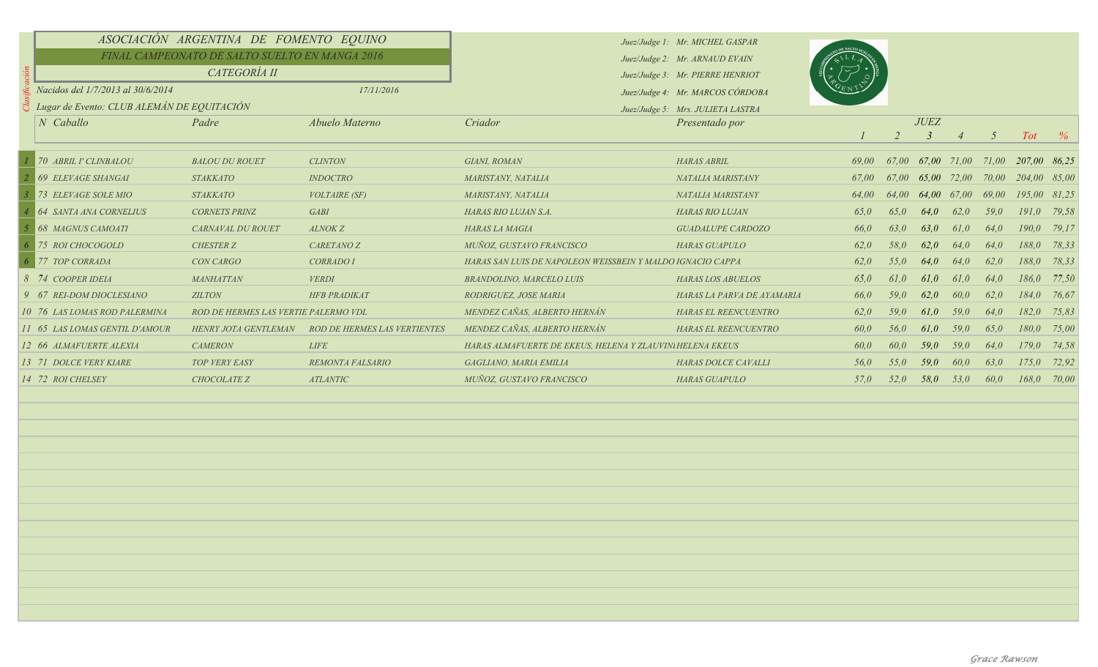|  | ASOCIACIÓN ARGENTINA DE FOMENTO EQUINO                   |                                      |                                     |                                                            | Juez/Judge 1: Mr. MICHEL GASPAR   |       |       |                   |      |            |                 |       |
|--|----------------------------------------------------------|--------------------------------------|-------------------------------------|------------------------------------------------------------|-----------------------------------|-------|-------|-------------------|------|------------|-----------------|-------|
|  | FINAL CAMPEONATO DE SALTO SUELTO EN MANGA 2016           |                                      |                                     |                                                            | Juez/Judge 2: Mr. ARNAUD EVAIN    |       |       |                   |      |            |                 |       |
|  | CATEGORÍA II                                             |                                      |                                     |                                                            | Juez/Judge 3: Mr. PIERRE HENRIOT  |       |       |                   |      |            |                 |       |
|  | Nacidos del 1/7/2013 al 30/6/2014<br>17/11/2016          |                                      |                                     | Juez/Judge 4: Mr. MARCOS CÓRDOBA                           |                                   |       |       |                   |      |            |                 |       |
|  | $\frac{S}{C}$ Lugar de Evento: CLUB ALEMÁN DE EQUITACIÓN |                                      |                                     |                                                            | Juez/Judge 5: Mrs. JULIETA LASTRA |       |       |                   |      |            |                 |       |
|  | N Caballo                                                | Padre                                | Abuelo Materno                      | Criador                                                    | Presentado por                    |       |       | <b>JUEZ</b>       |      |            |                 |       |
|  |                                                          |                                      |                                     |                                                            |                                   |       |       |                   |      | $\sqrt{2}$ | <b>Tot</b>      | $\%$  |
|  | 70 ABRIL I' CLINBALOU                                    | <b>BALOU DU ROUET</b>                | <b>CLINTON</b>                      | GIANI, ROMAN                                               | <b>HARAS ABRIL</b>                | 69.00 |       | 67,00 67,00 71,00 |      | 71,00      | 207,00 86,25    |       |
|  | <b>69 ELEVAGE SHANGAI</b>                                | <b>STAKKATO</b>                      | <b>INDOCTRO</b>                     | MARISTANY, NATALIA                                         | NATALIA MARISTANY                 | 67,00 | 67.00 | 65.00 72.00       |      | 70.00      | 204.00 85.00    |       |
|  | 73 ELEVAGE SOLE MIO                                      | <b>STAKKATO</b>                      | <b>VOLTAIRE (SF)</b>                | MARISTANY, NATALIA                                         | NATALIA MARISTANY                 | 64.00 | 64.00 | 64.00 67.00       |      | 69.00      | 195,00 81,25    |       |
|  | <b>64 SANTA ANA CORNELIUS</b>                            | <b>CORNETS PRINZ</b>                 | <b>GABI</b>                         | HARAS RIO LUJAN S.A.                                       | <b>HARAS RIO LUJAN</b>            | 65.0  | 65.0  | 64.0              | 62.0 | 59.0       | $191.0$ 79.58   |       |
|  | <b>68 MAGNUS CAMOATI</b>                                 | <b>CARNAVAL DU ROUET</b>             | ALNOK Z                             | HARAS LA MAGIA                                             | <b>GUADALUPE CARDOZO</b>          | 66,0  | 63.0  | 63.0              | 61,0 | 64.0       | 190.0           | 79,17 |
|  | 75 ROI CHOCOGOLD                                         | <b>CHESTER Z</b>                     | <b>CARETANO Z</b>                   | MUÑOZ. GUSTAVO FRANCISCO                                   | <b>HARAS GUAPULO</b>              | 62,0  | 58,0  | 62,0              | 64,0 | 64,0       | 188,0 78,33     |       |
|  | 77 TOP CORRADA                                           | <b>CON CARGO</b>                     | CORRADO I                           | HARAS SAN LUIS DE NAPOLEON WEISSBEIN Y MALDO IGNACIO CAPPA |                                   | 62.0  | 55,0  | 64,0              | 64,0 | 62.0       | 188,0           | 78,33 |
|  | 8 74 COOPER IDEIA                                        | MANHATTAN                            | <b>VERDI</b>                        | <b>BRANDOLINO, MARCELO LUIS</b>                            | <b>HARAS LOS ABUELOS</b>          | 65,0  | 61,0  | 61.0              | 61,0 | 64.0       | 186,0 77,50     |       |
|  | 9 67 REI-DOM DIOCLESIANO                                 | <b>ZILTON</b>                        | <b>HFB PRADIKAT</b>                 | RODRIGUEZ, JOSE MARIA                                      | HARAS LA PARVA DE AYAMARIA        | 66,0  | 59.0  | 62,0              | 60.0 | 62.0       | 184,0 76,67     |       |
|  | 10 76 LAS LOMAS ROD PALERMINA                            | ROD DE HERMES LAS VERTIE PALERMO VDL |                                     | MENDEZ CAÑAS, ALBERTO HERNÁN                               | HARAS EL REENCUENTRO              | 62,0  | 59.0  | 61,0              | 59.0 | 64,0       | 182,0 75,83     |       |
|  | 11 65 LAS LOMAS GENTIL D'AMOUR                           | <b>HENRY JOTA GENTLEMAN</b>          | <b>ROD DE HERMES LAS VERTIENTES</b> | MENDEZ CAÑAS, ALBERTO HERNÁN                               | HARAS EL REENCUENTRO              | 60,0  | 56,0  | 61,0              | 59.0 | 65.0       | 180,0 75,00     |       |
|  | 12 66 ALMAFUERTE ALEXIA                                  | <b>CAMERON</b>                       | <b>LIFE</b>                         | HARAS ALMAFUERTE DE EKEUS, HELENA Y ZLAUVINI HELENA EKEUS  |                                   | 60,0  | 60.0  | 59,0              | 59.0 | 64.0       | $179,0$ 74,58   |       |
|  | 13 71 DOLCE VERY KIARE                                   | <b>TOP VERY EASY</b>                 | <b>REMONTA FALSARIO</b>             | GAGLIANO, MARIA EMILIA                                     | <b>HARAS DOLCE CAVALLI</b>        | 56,0  | 55,0  | 59,0              | 60.0 | 63.0       | $175,0$ $72,92$ |       |
|  | 14 72 ROI CHELSEY                                        | <b>CHOCOLATE Z</b>                   | <b>ATLANTIC</b>                     | MUÑOZ, GUSTAVO FRANCISCO                                   | <b>HARAS GUAPULO</b>              | 57.0  | 52.0  | 58.0              | 53.0 | 60.0       | 168,0           | 70,00 |
|  |                                                          |                                      |                                     |                                                            |                                   |       |       |                   |      |            |                 |       |